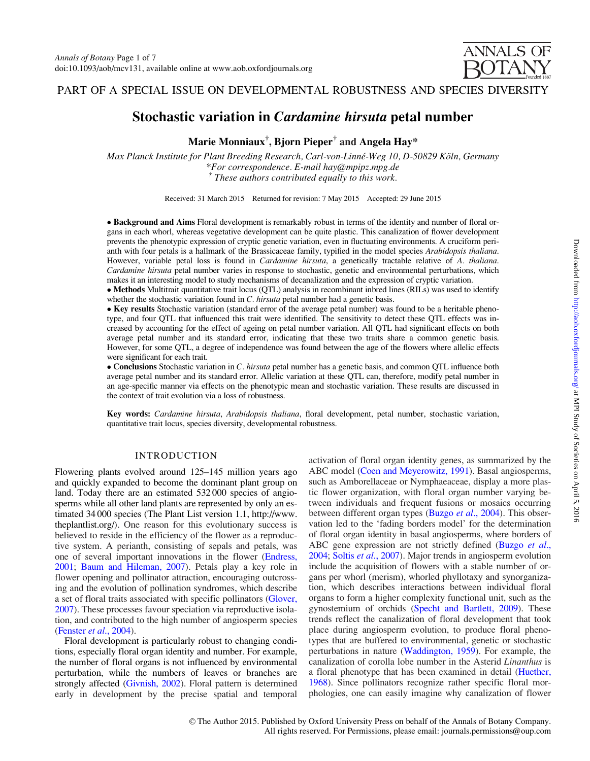**ANNALS OF ROTANY** 

PART OF A SPECIAL ISSUE ON DEVELOPMENTAL ROBUSTNESS AND SPECIES DIVERSITY

# Stochastic variation in Cardamine hirsuta petal number

Marie Monniaux $^\dagger$ , Bjorn Pieper $^\dagger$  and Angela Hay $^*$ 

Max Planck Institute for Plant Breeding Research, Carl-von-Linné-Weg 10, D-50829 Köln, Germany \*For correspondence. E-mail hay@mpipz.mpg.de  $<sup>†</sup>$  These authors contributed equally to this work.</sup>

Received: 31 March 2015 Returned for revision: 7 May 2015 Accepted: 29 June 2015

• Background and Aims Floral development is remarkably robust in terms of the identity and number of floral organs in each whorl, whereas vegetative development can be quite plastic. This canalization of flower development prevents the phenotypic expression of cryptic genetic variation, even in fluctuating environments. A cruciform perianth with four petals is a hallmark of the Brassicaceae family, typified in the model species Arabidopsis thaliana. However, variable petal loss is found in *Cardamine hirsuta*, a genetically tractable relative of A. thaliana. Cardamine hirsuta petal number varies in response to stochastic, genetic and environmental perturbations, which makes it an interesting model to study mechanisms of decanalization and the expression of cryptic variation.

- Methods Multitrait quantitative trait locus (QTL) analysis in recombinant inbred lines (RILs) was used to identify whether the stochastic variation found in  $C$ . hirsuta petal number had a genetic basis.

- Key results Stochastic variation (standard error of the average petal number) was found to be a heritable phenotype, and four QTL that influenced this trait were identified. The sensitivity to detect these QTL effects was increased by accounting for the effect of ageing on petal number variation. All QTL had significant effects on both average petal number and its standard error, indicating that these two traits share a common genetic basis. However, for some QTL, a degree of independence was found between the age of the flowers where allelic effects were significant for each trait.

• Conclusions Stochastic variation in C. hirsuta petal number has a genetic basis, and common QTL influence both average petal number and its standard error. Allelic variation at these QTL can, therefore, modify petal number in an age-specific manner via effects on the phenotypic mean and stochastic variation. These results are discussed in the context of trait evolution via a loss of robustness.

Key words: Cardamine hirsuta, Arabidopsis thaliana, floral development, petal number, stochastic variation, quantitative trait locus, species diversity, developmental robustness.

# INTRODUCTION

Flowering plants evolved around 125–145 million years ago and quickly expanded to become the dominant plant group on land. Today there are an estimated 532 000 species of angiosperms while all other land plants are represented by only an estimated 34 000 species (The Plant List version 1.1, [http://www.](http://www.theplantlist.org/) [theplantlist.org/](http://www.theplantlist.org/)). One reason for this evolutionary success is believed to reside in the efficiency of the flower as a reproductive system. A perianth, consisting of sepals and petals, was one of several important innovations in the flower [\(Endress,](#page-5-0) [2001;](#page-5-0) [Baum and Hileman, 2007](#page-5-0)). Petals play a key role in flower opening and pollinator attraction, encouraging outcrossing and the evolution of pollination syndromes, which describe a set of floral traits associated with specific pollinators ([Glover,](#page-5-0) [2007\)](#page-5-0). These processes favour speciation via reproductive isolation, and contributed to the high number of angiosperm species [\(Fenster](#page-5-0) et al., 2004).

Floral development is particularly robust to changing conditions, especially floral organ identity and number. For example, the number of floral organs is not influenced by environmental perturbation, while the numbers of leaves or branches are strongly affected [\(Givnish, 2002](#page-5-0)). Floral pattern is determined early in development by the precise spatial and temporal activation of floral organ identity genes, as summarized by the ABC model [\(Coen and Meyerowitz, 1991](#page-5-0)). Basal angiosperms, such as Amborellaceae or Nymphaeaceae, display a more plastic flower organization, with floral organ number varying between individuals and frequent fusions or mosaics occurring between different organ types (Buzgo et al[., 2004\)](#page-5-0). This observation led to the 'fading borders model' for the determination of floral organ identity in basal angiosperms, where borders of ABC gene expression are not strictly defined ([Buzgo](#page-5-0) *et al.*, [2004](#page-5-0); Soltis et al[., 2007\)](#page-6-0). Major trends in angiosperm evolution include the acquisition of flowers with a stable number of organs per whorl (merism), whorled phyllotaxy and synorganization, which describes interactions between individual floral organs to form a higher complexity functional unit, such as the gynostemium of orchids [\(Specht and Bartlett, 2009\)](#page-6-0). These trends reflect the canalization of floral development that took place during angiosperm evolution, to produce floral phenotypes that are buffered to environmental, genetic or stochastic perturbations in nature [\(Waddington, 1959\)](#page-6-0). For example, the canalization of corolla lobe number in the Asterid Linanthus is a floral phenotype that has been examined in detail [\(Huether,](#page-5-0) [1968](#page-5-0)). Since pollinators recognize rather specific floral morphologies, one can easily imagine why canalization of flower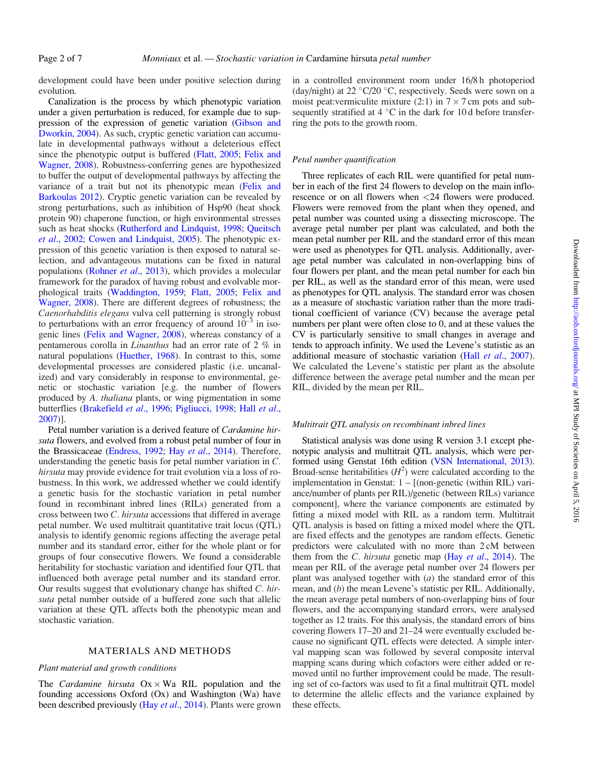development could have been under positive selection during evolution.

Canalization is the process by which phenotypic variation under a given perturbation is reduced, for example due to suppression of the expression of genetic variation [\(Gibson and](#page-5-0) [Dworkin, 2004](#page-5-0)). As such, cryptic genetic variation can accumulate in developmental pathways without a deleterious effect since the phenotypic output is buffered [\(Flatt, 2005;](#page-5-0) [Felix and](#page-5-0) [Wagner, 2008\)](#page-5-0). Robustness-conferring genes are hypothesized to buffer the output of developmental pathways by affecting the variance of a trait but not its phenotypic mean ([Felix and](#page-5-0) [Barkoulas 2012\)](#page-5-0). Cryptic genetic variation can be revealed by strong perturbations, such as inhibition of Hsp90 (heat shock protein 90) chaperone function, or high environmental stresses such as heat shocks ([Rutherford and Lindquist, 1998;](#page-6-0) [Queitsch](#page-6-0) et al[., 2002](#page-6-0); [Cowen and Lindquist, 2005](#page-5-0)). The phenotypic expression of this genetic variation is then exposed to natural selection, and advantageous mutations can be fixed in natural populations [\(Rohner](#page-6-0) et al., 2013), which provides a molecular framework for the paradox of having robust and evolvable morphological traits ([Waddington, 1959;](#page-6-0) [Flatt, 2005;](#page-5-0) [Felix and](#page-5-0) [Wagner, 2008\)](#page-5-0). There are different degrees of robustness; the Caenorhabditis elegans vulva cell patterning is strongly robust to perturbations with an error frequency of around  $10^{-3}$  in isogenic lines [\(Felix and Wagner, 2008\)](#page-5-0), whereas constancy of a pentamerous corolla in Linanthus had an error rate of 2 % in natural populations [\(Huether, 1968\)](#page-5-0). In contrast to this, some developmental processes are considered plastic (i.e. uncanalized) and vary considerably in response to environmental, genetic or stochastic variation [e.g. the number of flowers produced by A. thaliana plants, or wing pigmentation in some butterflies [\(Brakefield](#page-5-0) et al., 1996; [Pigliucci, 1998;](#page-6-0) Hall [et al](#page-5-0)., [2007\)](#page-5-0)].

Petal number variation is a derived feature of Cardamine hirsuta flowers, and evolved from a robust petal number of four in the Brassicaceae ([Endress, 1992](#page-5-0); Hay et al[., 2014](#page-5-0)). Therefore, understanding the genetic basis for petal number variation in C. hirsuta may provide evidence for trait evolution via a loss of robustness. In this work, we addressed whether we could identify a genetic basis for the stochastic variation in petal number found in recombinant inbred lines (RILs) generated from a cross between two C. hirsuta accessions that differed in average petal number. We used multitrait quantitative trait locus (QTL) analysis to identify genomic regions affecting the average petal number and its standard error, either for the whole plant or for groups of four consecutive flowers. We found a considerable heritability for stochastic variation and identified four QTL that influenced both average petal number and its standard error. Our results suggest that evolutionary change has shifted C. hirsuta petal number outside of a buffered zone such that allelic variation at these QTL affects both the phenotypic mean and stochastic variation.

## MATERIALS AND METHODS

## Plant material and growth conditions

The *Cardamine hirsuta*  $Ox \times Wa$  RIL population and the founding accessions Oxford (Ox) and Washington (Wa) have been described previously (Hay et al[., 2014\)](#page-5-0). Plants were grown in a controlled environment room under 16/8 h photoperiod (day/night) at  $22 \degree C/20 \degree C$ , respectively. Seeds were sown on a moist peat: vermiculite mixture (2:1) in  $7 \times 7$  cm pots and subsequently stratified at  $4^{\circ}$ C in the dark for 10 d before transferring the pots to the growth room.

## Petal number quantification

Three replicates of each RIL were quantified for petal number in each of the first 24 flowers to develop on the main inflorescence or on all flowers when <24 flowers were produced. Flowers were removed from the plant when they opened, and petal number was counted using a dissecting microscope. The average petal number per plant was calculated, and both the mean petal number per RIL and the standard error of this mean were used as phenotypes for QTL analysis. Additionally, average petal number was calculated in non-overlapping bins of four flowers per plant, and the mean petal number for each bin per RIL, as well as the standard error of this mean, were used as phenotypes for QTL analysis. The standard error was chosen as a measure of stochastic variation rather than the more traditional coefficient of variance (CV) because the average petal numbers per plant were often close to 0, and at these values the CV is particularly sensitive to small changes in average and tends to approach infinity. We used the Levene's statistic as an additional measure of stochastic variation (Hall et al[., 2007\)](#page-5-0). We calculated the Levene's statistic per plant as the absolute difference between the average petal number and the mean per RIL, divided by the mean per RIL.

## Multitrait QTL analysis on recombinant inbred lines

Statistical analysis was done using R version 3.1 except phenotypic analysis and multitrait QTL analysis, which were performed using Genstat 16th edition ([VSN International, 2013\)](#page-6-0). Broad-sense heritabilities  $(H^2)$  were calculated according to the implementation in Genstat: 1 – [(non-genetic (within RIL) variance/number of plants per RIL)/genetic (between RILs) variance component], where the variance components are estimated by fitting a mixed model with RIL as a random term. Multitrait QTL analysis is based on fitting a mixed model where the QTL are fixed effects and the genotypes are random effects. Genetic predictors were calculated with no more than 2 cM between them from the C. hirsuta genetic map (Hay et al[., 2014\)](#page-5-0). The mean per RIL of the average petal number over 24 flowers per plant was analysed together with  $(a)$  the standard error of this mean, and (b) the mean Levene's statistic per RIL. Additionally, the mean average petal numbers of non-overlapping bins of four flowers, and the accompanying standard errors, were analysed together as 12 traits. For this analysis, the standard errors of bins covering flowers 17–20 and 21–24 were eventually excluded because no significant QTL effects were detected. A simple interval mapping scan was followed by several composite interval mapping scans during which cofactors were either added or removed until no further improvement could be made. The resulting set of co-factors was used to fit a final multitrait QTL model to determine the allelic effects and the variance explained by these effects.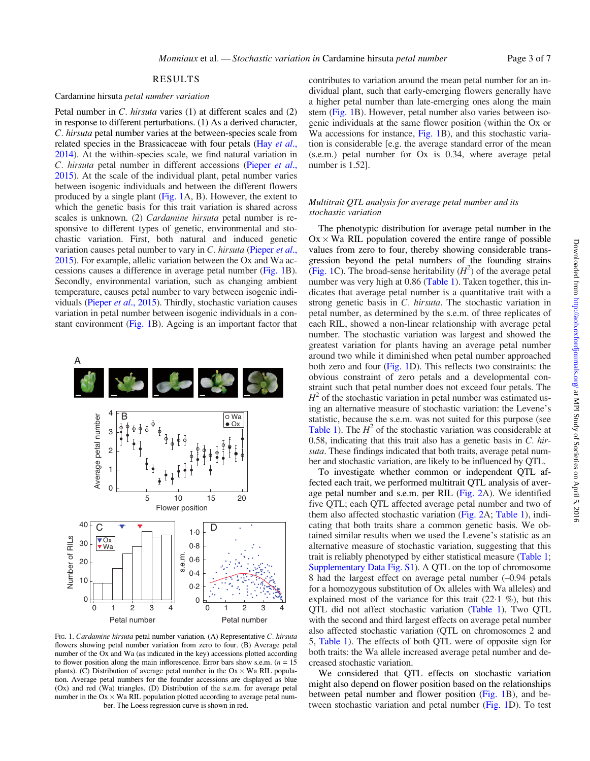## RESULTS

## <span id="page-2-0"></span>Cardamine hirsuta petal number variation

Petal number in C. hirsuta varies (1) at different scales and (2) in response to different perturbations. (1) As a derived character, C. hirsuta petal number varies at the between-species scale from related species in the Brassicaceae with four petals (Hay [et al](#page-5-0)., [2014](#page-5-0)). At the within-species scale, we find natural variation in C. hirsuta petal number in different accessions [\(Pieper](#page-6-0) et al., [2015](#page-6-0)). At the scale of the individual plant, petal number varies between isogenic individuals and between the different flowers produced by a single plant (Fig. 1A, B). However, the extent to which the genetic basis for this trait variation is shared across scales is unknown. (2) *Cardamine hirsuta* petal number is responsive to different types of genetic, environmental and stochastic variation. First, both natural and induced genetic variation causes petal number to vary in C. hirsuta [\(Pieper](#page-6-0) et al., [2015](#page-6-0)). For example, allelic variation between the Ox and Wa accessions causes a difference in average petal number (Fig. 1B). Secondly, environmental variation, such as changing ambient temperature, causes petal number to vary between isogenic individuals (Pieper et al[., 2015\)](#page-6-0). Thirdly, stochastic variation causes variation in petal number between isogenic individuals in a constant environment (Fig. 1B). Ageing is an important factor that



FIG. 1. Cardamine hirsuta petal number variation. (A) Representative C. hirsuta flowers showing petal number variation from zero to four. (B) Average petal number of the Ox and Wa (as indicated in the key) accessions plotted according to flower position along the main inflorescence. Error bars show s.e.m. ( $n = 15$ ) plants). (C) Distribution of average petal number in the  $Ox \times Wa$  RIL population. Average petal numbers for the founder accessions are displayed as blue (Ox) and red (Wa) triangles. (D) Distribution of the s.e.m. for average petal number in the  $Ox \times Wa$  RIL population plotted according to average petal number. The Loess regression curve is shown in red.

contributes to variation around the mean petal number for an individual plant, such that early-emerging flowers generally have a higher petal number than late-emerging ones along the main stem (Fig. 1B). However, petal number also varies between isogenic individuals at the same flower position (within the Ox or Wa accessions for instance, Fig. 1B), and this stochastic variation is considerable [e.g. the average standard error of the mean (s.e.m.) petal number for Ox is 0.34, where average petal number is 1.52].

#### Multitrait QTL analysis for average petal number and its stochastic variation

The phenotypic distribution for average petal number in the  $Ox \times Wa$  RIL population covered the entire range of possible values from zero to four, thereby showing considerable transgression beyond the petal numbers of the founding strains (Fig. 1C). The broad-sense heritability  $(H^2)$  of the average petal number was very high at 0.86 ([Table 1\)](#page-3-0). Taken together, this indicates that average petal number is a quantitative trait with a strong genetic basis in C. hirsuta. The stochastic variation in petal number, as determined by the s.e.m. of three replicates of each RIL, showed a non-linear relationship with average petal number. The stochastic variation was largest and showed the greatest variation for plants having an average petal number around two while it diminished when petal number approached both zero and four (Fig. 1D). This reflects two constraints: the obvious constraint of zero petals and a developmental constraint such that petal number does not exceed four petals. The  $H<sup>2</sup>$  of the stochastic variation in petal number was estimated using an alternative measure of stochastic variation: the Levene's statistic, because the s.e.m. was not suited for this purpose (see [Table 1\)](#page-3-0). The  $H^2$  of the stochastic variation was considerable at 0.58, indicating that this trait also has a genetic basis in  $C$ . hirsuta. These findings indicated that both traits, average petal number and stochastic variation, are likely to be influenced by QTL.

To investigate whether common or independent QTL affected each trait, we performed multitrait QTL analysis of average petal number and s.e.m. per RIL [\(Fig. 2A](#page-3-0)). We identified five QTL; each QTL affected average petal number and two of them also affected stochastic variation [\(Fig. 2](#page-3-0)A; [Table 1](#page-3-0)), indicating that both traits share a common genetic basis. We obtained similar results when we used the Levene's statistic as an alternative measure of stochastic variation, suggesting that this trait is reliably phenotyped by either statistical measure [\(Table 1](#page-3-0); [Supplementary Data Fig. S1](http://aob.oxfordjournals.org/lookup/suppl/doi:10.1093/aob/mcv131/-/DC1)). A QTL on the top of chromosome 8 had the largest effect on average petal number (–0.94 petals for a homozygous substitution of Ox alleles with Wa alleles) and explained most of the variance for this trait  $(22.1\%)$ , but this QTL did not affect stochastic variation [\(Table 1\)](#page-3-0). Two QTL with the second and third largest effects on average petal number also affected stochastic variation (QTL on chromosomes 2 and 5, [Table 1](#page-3-0)). The effects of both QTL were of opposite sign for both traits: the Wa allele increased average petal number and decreased stochastic variation.

We considered that QTL effects on stochastic variation might also depend on flower position based on the relationships between petal number and flower position (Fig. 1B), and between stochastic variation and petal number (Fig. 1D). To test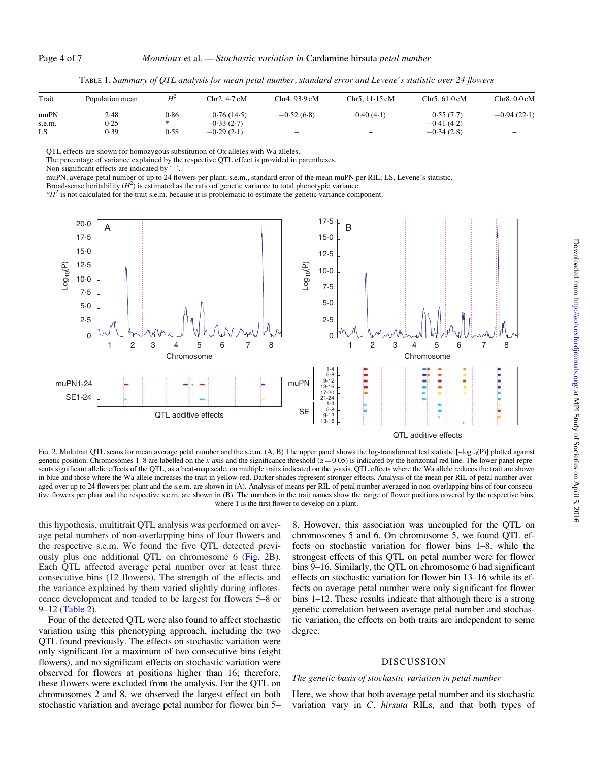<span id="page-3-0"></span>

| Trait  | Population mean | $H^2$ | Chr2.4.7 cM  | Chr4, 93.9 cM            | Chr5. $11.15$ cM         | Chr <sub>5</sub> . $61.0 \text{ cM}$ | Chr8. 0·0 cM             |
|--------|-----------------|-------|--------------|--------------------------|--------------------------|--------------------------------------|--------------------------|
| muPN   | 2.48            | 0.86  | 0.76(14.5)   | $-0.52(6.8)$             | 0.40(4.1)                | 0.55(7.7)                            | $-0.94(22.1)$            |
| s.e.m. | 0.25            |       | $-0.33(2.7)$ |                          | $\overline{\phantom{a}}$ | $-0.41(4.2)$                         | $\overline{\phantom{0}}$ |
| LS     | 0.39            | 0.58  | $-0.29(2.1)$ | $\overline{\phantom{0}}$ | $\qquad \qquad$          | $-0.34(2.8)$                         | $\qquad \qquad -$        |

TABLE 1. Summary of QTL analysis for mean petal number, standard error and Levene's statistic over 24 flowers

QTL effects are shown for homozygous substitution of Ox alleles with Wa alleles.

The percentage of variance explained by the respective QTL effect is provided in parentheses.

Non-significant effects are indicated by '–'.

muPN, average petal number of up to 24 flowers per plant; s.e.m., standard error of the mean muPN per RIL; LS, Levene's statistic.

Broad-sense heritability  $(H^2)$  is estimated as the ratio of genetic variance to total phenotypic variance.

 $*H<sup>2</sup>$  is not calculated for the trait s.e.m. because it is problematic to estimate the genetic variance component.



FIG. 2. Multitrait QTL scans for mean average petal number and the s.e.m.  $(A, B)$  The upper panel shows the log-transformed test statistic  $[-\log_{10}(P)]$  plotted against genetic position. Chromosomes 1–8 are labelled on the x-axis and the significance threshold  $(\alpha = 0.05)$  is indicated by the horizontal red line. The lower panel represents significant allelic effects of the QTL, as a heat-map scale, on multiple traits indicated on the y-axis. QTL effects where the Wa allele reduces the trait are shown in blue and those where the Wa allele increases the trait in yellow-red. Darker shades represent stronger effects. Analysis of the mean per RIL of petal number averaged over up to 24 flowers per plant and the s.e.m. are shown in (A). Analysis of means per RIL of petal number averaged in non-overlapping bins of four consecutive flowers per plant and the respective s.e.m. are shown in (B). The numbers in the trait names show the range of flower positions covered by the respective bins, where 1 is the first flower to develop on a plant.

this hypothesis, multitrait QTL analysis was performed on average petal numbers of non-overlapping bins of four flowers and the respective s.e.m. We found the five QTL detected previously plus one additional QTL on chromosome 6 (Fig. 2B). Each QTL affected average petal number over at least three consecutive bins (12 flowers). The strength of the effects and the variance explained by them varied slightly during inflorescence development and tended to be largest for flowers 5–8 or 9–12 [\(Table 2](#page-4-0)).

Four of the detected QTL were also found to affect stochastic variation using this phenotyping approach, including the two QTL found previously. The effects on stochastic variation were only significant for a maximum of two consecutive bins (eight flowers), and no significant effects on stochastic variation were observed for flowers at positions higher than 16; therefore, these flowers were excluded from the analysis. For the QTL on chromosomes 2 and 8, we observed the largest effect on both stochastic variation and average petal number for flower bin 5–

8. However, this association was uncoupled for the QTL on chromosomes 5 and 6. On chromosome 5, we found QTL effects on stochastic variation for flower bins 1–8, while the strongest effects of this QTL on petal number were for flower bins 9–16. Similarly, the QTL on chromosome 6 had significant effects on stochastic variation for flower bin 13–16 while its effects on average petal number were only significant for flower bins 1–12. These results indicate that although there is a strong genetic correlation between average petal number and stochastic variation, the effects on both traits are independent to some degree.

#### DISCUSSION

#### The genetic basis of stochastic variation in petal number

Here, we show that both average petal number and its stochastic variation vary in C. hirsuta RILs, and that both types of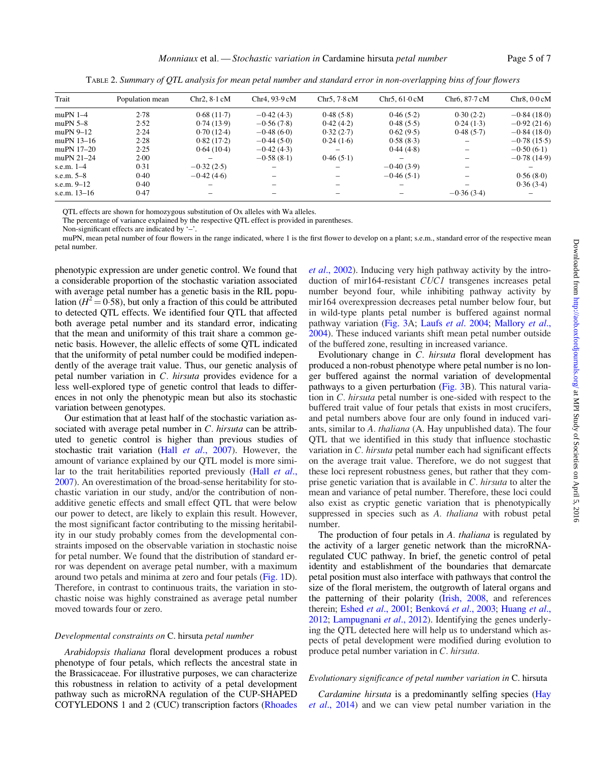<span id="page-4-0"></span>

| Trait          | Population mean | Chr2. 8.1 cM             | Chr4.93.9cM  | Chr5.7.8cM | Chr5.61.0cM  | Chr <sub>6</sub> . $87.7 \text{ cM}$ | Chr8.0.0cM    |
|----------------|-----------------|--------------------------|--------------|------------|--------------|--------------------------------------|---------------|
|                |                 |                          |              |            |              |                                      |               |
| muPN $1-4$     | 2.78            | 0.68(11.7)               | $-0.42(4.3)$ | 0.48(5.8)  | 0.46(5.2)    | 0.30(2.2)                            | $-0.84(18.0)$ |
| muPN $5-8$     | 2.52            | 0.74(13.9)               | $-0.56(7.8)$ | 0.42(4.2)  | 0.48(5.5)    | 0.24(1.3)                            | $-0.92(21.6)$ |
| muPN $9-12$    | 2.24            | 0.70(12.4)               | $-0.48(6.0)$ | 0.32(2.7)  | 0.62(9.5)    | 0.48(5.7)                            | $-0.84(18.0)$ |
| muPN $13-16$   | 2.28            | 0.82(17.2)               | $-0.44(5.0)$ | 0.24(1.6)  | 0.58(8.3)    |                                      | $-0.78(15.5)$ |
| muPN 17-20     | 2.25            | 0.64(10.4)               | $-0.42(4.3)$ |            | 0.44(4.8)    |                                      | $-0.50(6.1)$  |
| muPN $21-24$   | 2.00            | $\overline{\phantom{0}}$ | $-0.58(8.1)$ | 0.46(5.1)  |              |                                      | $-0.78(14.9)$ |
| s.e.m. $1-4$   | 0.31            | $-0.32(2.5)$             |              |            | $-0.40(3.9)$ |                                      |               |
| s.e.m. $5-8$   | 0.40            | $-0.42(4.6)$             |              |            | $-0.46(5.1)$ |                                      | 0.56(8.0)     |
| s.e.m. $9-12$  | 0.40            | $\overline{\phantom{0}}$ |              |            |              |                                      | 0.36(3.4)     |
| s.e.m. $13-16$ | 0.47            |                          |              |            |              | $-0.36(3.4)$                         |               |

TABLE 2. Summary of QTL analysis for mean petal number and standard error in non-overlapping bins of four flowers

QTL effects are shown for homozygous substitution of Ox alleles with Wa alleles.

The percentage of variance explained by the respective QTL effect is provided in parentheses.

Non-significant effects are indicated by '–'.

muPN, mean petal number of four flowers in the range indicated, where 1 is the first flower to develop on a plant; s.e.m., standard error of the respective mean petal number.

phenotypic expression are under genetic control. We found that a considerable proportion of the stochastic variation associated with average petal number has a genetic basis in the RIL population ( $H^2 = 0.58$ ), but only a fraction of this could be attributed to detected QTL effects. We identified four QTL that affected both average petal number and its standard error, indicating that the mean and uniformity of this trait share a common genetic basis. However, the allelic effects of some QTL indicated that the uniformity of petal number could be modified independently of the average trait value. Thus, our genetic analysis of petal number variation in C. hirsuta provides evidence for a less well-explored type of genetic control that leads to differences in not only the phenotypic mean but also its stochastic variation between genotypes.

Our estimation that at least half of the stochastic variation associated with average petal number in  $C$ . hirsuta can be attributed to genetic control is higher than previous studies of stochastic trait variation (Hall et al[., 2007\)](#page-5-0). However, the amount of variance explained by our QTL model is more similar to the trait heritabilities reported previously (Hall [et al](#page-5-0)., [2007\)](#page-5-0). An overestimation of the broad-sense heritability for stochastic variation in our study, and/or the contribution of nonadditive genetic effects and small effect QTL that were below our power to detect, are likely to explain this result. However, the most significant factor contributing to the missing heritability in our study probably comes from the developmental constraints imposed on the observable variation in stochastic noise for petal number. We found that the distribution of standard error was dependent on average petal number, with a maximum around two petals and minima at zero and four petals ([Fig. 1D](#page-2-0)). Therefore, in contrast to continuous traits, the variation in stochastic noise was highly constrained as average petal number moved towards four or zero.

## Developmental constraints on C. hirsuta petal number

Arabidopsis thaliana floral development produces a robust phenotype of four petals, which reflects the ancestral state in the Brassicaceae. For illustrative purposes, we can characterize this robustness in relation to activity of a petal development pathway such as microRNA regulation of the CUP-SHAPED COTYLEDONS 1 and 2 (CUC) transcription factors ([Rhoades](#page-6-0)

et al[., 2002\)](#page-6-0). Inducing very high pathway activity by the introduction of mir164-resistant CUC1 transgenes increases petal number beyond four, while inhibiting pathway activity by mir164 overexpression decreases petal number below four, but in wild-type plants petal number is buffered against normal pathway variation [\(Fig. 3](#page-5-0)A; Laufs et al[. 2004](#page-6-0); [Mallory](#page-6-0) et al., [2004](#page-6-0)). These induced variants shift mean petal number outside of the buffered zone, resulting in increased variance.

Evolutionary change in C. hirsuta floral development has produced a non-robust phenotype where petal number is no longer buffered against the normal variation of developmental pathways to a given perturbation [\(Fig. 3B](#page-5-0)). This natural variation in C. hirsuta petal number is one-sided with respect to the buffered trait value of four petals that exists in most crucifers, and petal numbers above four are only found in induced variants, similar to A. thaliana (A. Hay unpublished data). The four QTL that we identified in this study that influence stochastic variation in C. hirsuta petal number each had significant effects on the average trait value. Therefore, we do not suggest that these loci represent robustness genes, but rather that they comprise genetic variation that is available in C. hirsuta to alter the mean and variance of petal number. Therefore, these loci could also exist as cryptic genetic variation that is phenotypically suppressed in species such as A. thaliana with robust petal number.

The production of four petals in A. *thaliana* is regulated by the activity of a larger genetic network than the microRNAregulated CUC pathway. In brief, the genetic control of petal identity and establishment of the boundaries that demarcate petal position must also interface with pathways that control the size of the floral meristem, the outgrowth of lateral organs and the patterning of their polarity [\(Irish, 2008,](#page-5-0) and references therein; Eshed et al[., 2001;](#page-5-0) Benková et al., 2003; [Huang](#page-5-0) et al., [2012](#page-5-0); [Lampugnani](#page-6-0) et al., 2012). Identifying the genes underlying the QTL detected here will help us to understand which aspects of petal development were modified during evolution to produce petal number variation in C. hirsuta.

#### Evolutionary significance of petal number variation in C. hirsuta

Cardamine hirsuta is a predominantly selfing species ([Hay](#page-5-0) et al[., 2014](#page-5-0)) and we can view petal number variation in the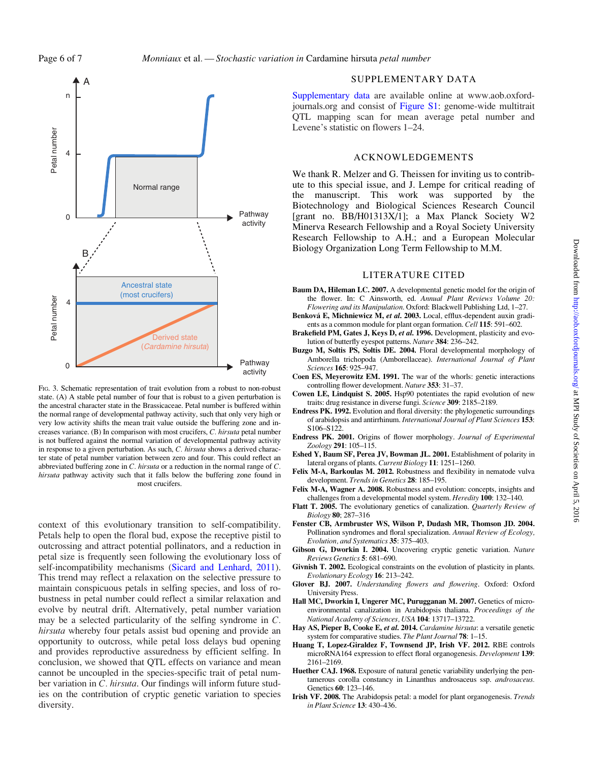<span id="page-5-0"></span>

FIG. 3. Schematic representation of trait evolution from a robust to non-robust state. (A) A stable petal number of four that is robust to a given perturbation is the ancestral character state in the Brassicaceae. Petal number is buffered within the normal range of developmental pathway activity, such that only very high or very low activity shifts the mean trait value outside the buffering zone and increases variance. (B) In comparison with most crucifers, C. hirsuta petal number is not buffered against the normal variation of developmental pathway activity in response to a given perturbation. As such, C. hirsuta shows a derived character state of petal number variation between zero and four. This could reflect an abbreviated buffering zone in C. hirsuta or a reduction in the normal range of C. hirsuta pathway activity such that it falls below the buffering zone found in most crucifers.

context of this evolutionary transition to self-compatibility. Petals help to open the floral bud, expose the receptive pistil to outcrossing and attract potential pollinators, and a reduction in petal size is frequently seen following the evolutionary loss of self-incompatibility mechanisms [\(Sicard and Lenhard, 2011\)](#page-6-0). This trend may reflect a relaxation on the selective pressure to maintain conspicuous petals in selfing species, and loss of robustness in petal number could reflect a similar relaxation and evolve by neutral drift. Alternatively, petal number variation may be a selected particularity of the selfing syndrome in C. hirsuta whereby four petals assist bud opening and provide an opportunity to outcross, while petal loss delays bud opening and provides reproductive assuredness by efficient selfing. In conclusion, we showed that QTL effects on variance and mean cannot be uncoupled in the species-specific trait of petal number variation in C. hirsuta. Our findings will inform future studies on the contribution of cryptic genetic variation to species diversity.

## SUPPLEMENTARY DATA

[Supplementary data](http://aob.oxfordjournals.org/lookup/suppl/doi:10.1093/aob/mcv131/-/DC1) are available online at [www.aob.oxford](www.aob.oxfordjournals.org)[journals.org](www.aob.oxfordjournals.org) and consist of [Figure S1:](http://aob.oxfordjournals.org/lookup/suppl/doi:10.1093/aob/mcv131/-/DC1) genome-wide multitrait QTL mapping scan for mean average petal number and Levene's statistic on flowers 1–24.

## ACKNOWLEDGEMENTS

We thank R. Melzer and G. Theissen for inviting us to contribute to this special issue, and J. Lempe for critical reading of the manuscript. This work was supported by the Biotechnology and Biological Sciences Research Council [grant no. BB/H01313X/1]; a Max Planck Society W2 Minerva Research Fellowship and a Royal Society University Research Fellowship to A.H.; and a European Molecular Biology Organization Long Term Fellowship to M.M.

#### LITERATURE CITED

- Baum DA, Hileman LC. 2007. A developmental genetic model for the origin of the flower. In: C Ainsworth, ed. Annual Plant Reviews Volume 20: Flowering and its Manipulation. Oxford: Blackwell Publishing Ltd, 1–27.
- Benková E, Michniewicz M, et al. 2003. Local, efflux-dependent auxin gradients as a common module for plant organ formation. Cell 115: 591–602.
- Brakefield PM, Gates J, Keys D, et al. 1996. Development, plasticity and evolution of butterfly eyespot patterns. Nature 384: 236–242.
- Buzgo M, Soltis PS, Soltis DE. 2004. Floral developmental morphology of Amborella trichopoda (Amborellaceae). International Journal of Plant Sciences 165: 925–947.
- Coen ES, Meyerowitz EM. 1991. The war of the whorls: genetic interactions controlling flower development. Nature 353: 31–37.
- Cowen LE, Lindquist S. 2005. Hsp90 potentiates the rapid evolution of new traits: drug resistance in diverse fungi. Science 309: 2185–2189.
- Endress PK. 1992. Evolution and floral diversity: the phylogenetic surroundings of arabidopsis and antirrhinum. International Journal of Plant Sciences 153: S106–S122.
- Endress PK. 2001. Origins of flower morphology. Journal of Experimental Zoology 291: 105–115.
- Eshed Y, Baum SF, Perea JV, Bowman JL. 2001. Establishment of polarity in lateral organs of plants. Current Biology 11: 1251–1260.
- Felix M-A, Barkoulas M. 2012. Robustness and flexibility in nematode vulva development. Trends in Genetics 28: 185–195.
- Felix M-A, Wagner A. 2008. Robustness and evolution: concepts, insights and challenges from a developmental model system. Heredity 100: 132–140.
- Flatt T. 2005. The evolutionary genetics of canalization. Quarterly Review of Biology 80; 287–316
- Fenster CB, Armbruster WS, Wilson P, Dudash MR, Thomson JD. 2004. Pollination syndromes and floral specialization. Annual Review of Ecology, Evolution, and Systematics 35: 375–403.
- Gibson G, Dworkin I. 2004. Uncovering cryptic genetic variation. Nature Reviews Genetics 5: 681–690.
- Givnish T. 2002. Ecological constraints on the evolution of plasticity in plants. Evolutionary Ecology 16: 213–242.
- Glover BJ. 2007. Understanding flowers and flowering. Oxford: Oxford University Press.
- Hall MC, Dworkin I, Ungerer MC, Purugganan M. 2007. Genetics of microenvironmental canalization in Arabidopsis thaliana. Proceedings of the National Academy of Sciences, USA 104: 13717–13722.
- Hay AS, Pieper B, Cooke E, et al. 2014. Cardamine hirsuta: a versatile genetic system for comparative studies. The Plant Journal 78: 1–15.
- Huang T, Lopez-Giraldez F, Townsend JP, Irish VF. 2012. RBE controls microRNA164 expression to effect floral organogenesis. Development 139: 2161–2169.
- Huether CAJ. 1968. Exposure of natural genetic variability underlying the pentamerous corolla constancy in Linanthus androsaceus ssp. androsaceus. Genetics 60: 123–146.
- Irish VF. 2008. The Arabidopsis petal: a model for plant organogenesis. Trends in Plant Science 13: 430–436.